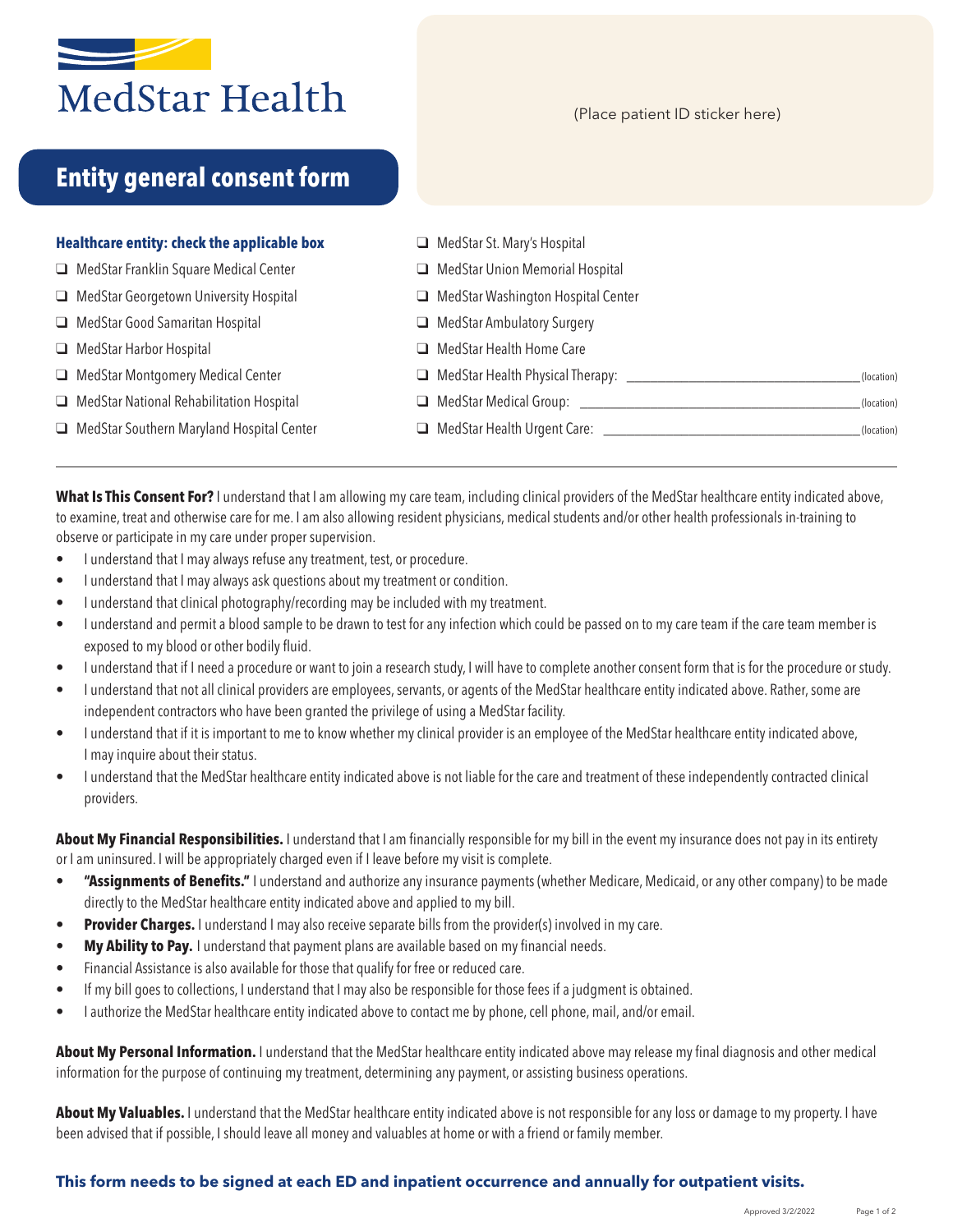

(Place patient ID sticker here)

# **Entity general consent form**

### **Healthcare entity: check the applicable box**

- $\Box$  MedStar Franklin Square Medical Center
- $\Box$  MedStar Georgetown University Hospital
- $\Box$  MedStar Good Samaritan Hospital
- **Q** MedStar Harbor Hospital
- $\Box$  MedStar Montgomery Medical Center
- $\Box$  MedStar National Rehabilitation Hospital
- $\Box$  MedStar Southern Maryland Hospital Center
- $\Box$  MedStar St. Mary's Hospital
- $\Box$  MedStar Union Memorial Hospital
- $\Box$  MedStar Washington Hospital Center
- $\Box$  MedStar Ambulatory Surgery
- **Q** MedStar Health Home Care
- **Q** MedStar Health Physical Therapy: \_\_\_\_\_\_\_\_\_\_\_\_\_\_\_\_\_\_\_\_\_\_\_\_\_\_\_\_\_\_\_\_\_\_\_(location)
- q MedStar Medical Group: \_\_\_\_\_\_\_\_\_\_\_\_\_\_\_\_\_\_\_\_\_\_\_\_\_\_\_\_\_\_\_\_\_\_\_\_(location)
	- q MedStar Health Urgent Care: \_\_\_\_\_\_\_\_\_\_\_\_\_\_\_\_\_\_\_\_\_\_\_\_\_\_\_\_\_\_\_\_\_(location)

**What Is This Consent For?** I understand that I am allowing my care team, including clinical providers of the MedStar healthcare entity indicated above, to examine, treat and otherwise care for me. I am also allowing resident physicians, medical students and/or other health professionals in-training to observe or participate in my care under proper supervision.

- I understand that I may always refuse any treatment, test, or procedure.
- I understand that I may always ask questions about my treatment or condition.
- I understand that clinical photography/recording may be included with my treatment.
- I understand and permit a blood sample to be drawn to test for any infection which could be passed on to my care team if the care team member is exposed to my blood or other bodily fluid.
- I understand that if I need a procedure or want to join a research study, I will have to complete another consent form that is for the procedure or study.
- I understand that not all clinical providers are employees, servants, or agents of the MedStar healthcare entity indicated above. Rather, some are independent contractors who have been granted the privilege of using a MedStar facility.
- I understand that if it is important to me to know whether my clinical provider is an employee of the MedStar healthcare entity indicated above, I may inquire about their status.
- I understand that the MedStar healthcare entity indicated above is not liable for the care and treatment of these independently contracted clinical providers.

**About My Financial Responsibilities.** I understand that I am financially responsible for my bill in the event my insurance does not pay in its entirety or I am uninsured. I will be appropriately charged even if I leave before my visit is complete.

- **• "Assignments of Benefits."** I understand and authorize any insurance payments (whether Medicare, Medicaid, or any other company) to be made directly to the MedStar healthcare entity indicated above and applied to my bill.
- **Provider Charges.** I understand I may also receive separate bills from the provider(s) involved in my care.
- **• My Ability to Pay.** I understand that payment plans are available based on my financial needs.
- Financial Assistance is also available for those that qualify for free or reduced care.
- If my bill goes to collections, I understand that I may also be responsible for those fees if a judgment is obtained.
- I authorize the MedStar healthcare entity indicated above to contact me by phone, cell phone, mail, and/or email.

**About My Personal Information.** I understand that the MedStar healthcare entity indicated above may release my final diagnosis and other medical information for the purpose of continuing my treatment, determining any payment, or assisting business operations.

**About My Valuables.** I understand that the MedStar healthcare entity indicated above is not responsible for any loss or damage to my property. I have been advised that if possible, I should leave all money and valuables at home or with a friend or family member.

### **This form needs to be signed at each ED and inpatient occurrence and annually for outpatient visits.**